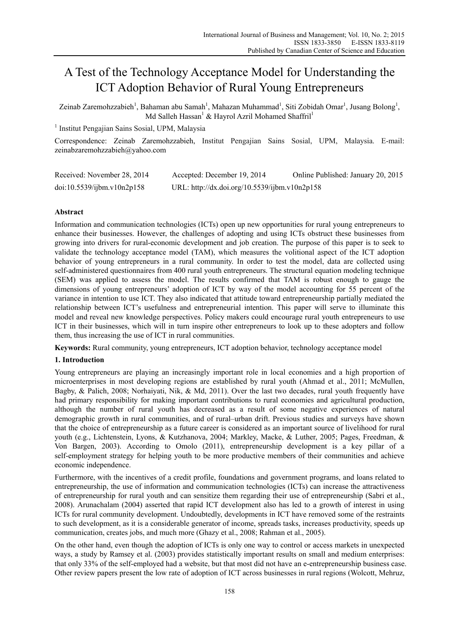# A Test of the Technology Acceptance Model for Understanding the ICT Adoption Behavior of Rural Young Entrepreneurs

Zeinab Zaremohzzabieh<sup>1</sup>, Bahaman abu Samah<sup>1</sup>, Mahazan Muhammad<sup>1</sup>, Siti Zobidah Omar<sup>1</sup>, Jusang Bolong<sup>1</sup>, Md Salleh Hassan<sup>1</sup> & Hayrol Azril Mohamed Shaffril<sup>1</sup>

<sup>1</sup> Institut Pengajian Sains Sosial, UPM, Malaysia

Correspondence: Zeinab Zaremohzzabieh, Institut Pengajian Sains Sosial, UPM, Malaysia. E-mail: zeinabzaremohzzabieh@yahoo.com

| Received: November 28, 2014 | Accepted: December 19, 2014                   | Online Published: January 20, 2015 |
|-----------------------------|-----------------------------------------------|------------------------------------|
| doi:10.5539/ijbm.v10n2p158  | URL: http://dx.doi.org/10.5539/ijbm.v10n2p158 |                                    |

# **Abstract**

Information and communication technologies (ICTs) open up new opportunities for rural young entrepreneurs to enhance their businesses. However, the challenges of adopting and using ICTs obstruct these businesses from growing into drivers for rural-economic development and job creation. The purpose of this paper is to seek to validate the technology acceptance model (TAM), which measures the volitional aspect of the ICT adoption behavior of young entrepreneurs in a rural community. In order to test the model, data are collected using self-administered questionnaires from 400 rural youth entrepreneurs. The structural equation modeling technique (SEM) was applied to assess the model. The results confirmed that TAM is robust enough to gauge the dimensions of young entrepreneurs' adoption of ICT by way of the model accounting for 55 percent of the variance in intention to use ICT. They also indicated that attitude toward entrepreneurship partially mediated the relationship between ICT's usefulness and entrepreneurial intention. This paper will serve to illuminate this model and reveal new knowledge perspectives. Policy makers could encourage rural youth entrepreneurs to use ICT in their businesses, which will in turn inspire other entrepreneurs to look up to these adopters and follow them, thus increasing the use of ICT in rural communities.

**Keywords:** Rural community, young entrepreneurs, ICT adoption behavior, technology acceptance model

# **1. Introduction**

Young entrepreneurs are playing an increasingly important role in local economies and a high proportion of microenterprises in most developing regions are established by rural youth (Ahmad et al., 2011; McMullen, Bagby, & Palich, 2008; Norhaiyati, Nik, & Md, 2011). Over the last two decades, rural youth frequently have had primary responsibility for making important contributions to rural economies and agricultural production, although the number of rural youth has decreased as a result of some negative experiences of natural demographic growth in rural communities, and of rural–urban drift. Previous studies and surveys have shown that the choice of entrepreneurship as a future career is considered as an important source of livelihood for rural youth (e.g., Lichtenstein, Lyons, & Kutzhanova, 2004; Markley, Macke, & Luther, 2005; Pages, Freedman, & Von Bargen, 2003). According to Omolo (2011), entrepreneurship development is a key pillar of a self-employment strategy for helping youth to be more productive members of their communities and achieve economic independence.

Furthermore, with the incentives of a credit profile, foundations and government programs, and loans related to entrepreneurship, the use of information and communication technologies (ICTs) can increase the attractiveness of entrepreneurship for rural youth and can sensitize them regarding their use of entrepreneurship (Sabri et al., 2008). Arunachalam (2004) asserted that rapid ICT development also has led to a growth of interest in using ICTs for rural community development. Undoubtedly, developments in ICT have removed some of the restraints to such development, as it is a considerable generator of income, spreads tasks, increases productivity, speeds up communication, creates jobs, and much more (Ghazy et al., 2008; Rahman et al., 2005).

On the other hand, even though the adoption of ICTs is only one way to control or access markets in unexpected ways, a study by Ramsey et al. (2003) provides statistically important results on small and medium enterprises: that only 33% of the self-employed had a website, but that most did not have an e-entrepreneurship business case. Other review papers present the low rate of adoption of ICT across businesses in rural regions (Wolcott, Mehruz,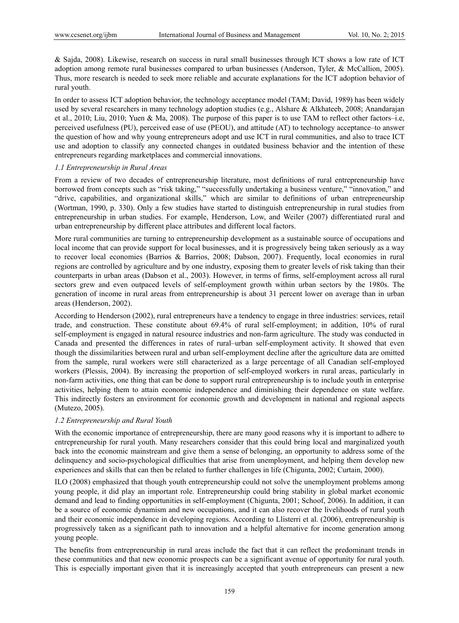& Sajda, 2008). Likewise, research on success in rural small businesses through ICT shows a low rate of ICT adoption among remote rural businesses compared to urban businesses (Anderson, Tyler, & McCallion, 2005). Thus, more research is needed to seek more reliable and accurate explanations for the ICT adoption behavior of rural youth.

In order to assess ICT adoption behavior, the technology acceptance model (TAM; David, 1989) has been widely used by several researchers in many technology adoption studies (e.g., Alshare & Alkhateeb, 2008; Anandarajan et al., 2010; Liu, 2010; Yuen & Ma, 2008). The purpose of this paper is to use TAM to reflect other factors–i.e, perceived usefulness (PU), perceived ease of use (PEOU), and attitude (AT) to technology acceptance–to answer the question of how and why young entrepreneurs adopt and use ICT in rural communities, and also to trace ICT use and adoption to classify any connected changes in outdated business behavior and the intention of these entrepreneurs regarding marketplaces and commercial innovations.

#### *1.1 Entrepreneurship in Rural Areas*

From a review of two decades of entrepreneurship literature, most definitions of rural entrepreneurship have borrowed from concepts such as "risk taking," "successfully undertaking a business venture," "innovation," and "drive, capabilities, and organizational skills," which are similar to definitions of urban entrepreneurship (Wortman, 1990, p. 330). Only a few studies have started to distinguish entrepreneurship in rural studies from entrepreneurship in urban studies. For example, Henderson, Low, and Weiler (2007) differentiated rural and urban entrepreneurship by different place attributes and different local factors.

More rural communities are turning to entrepreneurship development as a sustainable source of occupations and local income that can provide support for local businesses, and it is progressively being taken seriously as a way to recover local economies (Barrios & Barrios, 2008; Dabson, 2007). Frequently, local economies in rural regions are controlled by agriculture and by one industry, exposing them to greater levels of risk taking than their counterparts in urban areas (Dabson et al., 2003). However, in terms of firms, self-employment across all rural sectors grew and even outpaced levels of self-employment growth within urban sectors by the 1980s. The generation of income in rural areas from entrepreneurship is about 31 percent lower on average than in urban areas (Henderson, 2002).

According to Henderson (2002), rural entrepreneurs have a tendency to engage in three industries: services, retail trade, and construction. These constitute about 69.4% of rural self-employment; in addition, 10% of rural self-employment is engaged in natural resource industries and non-farm agriculture. The study was conducted in Canada and presented the differences in rates of rural–urban self-employment activity. It showed that even though the dissimilarities between rural and urban self-employment decline after the agriculture data are omitted from the sample, rural workers were still characterized as a large percentage of all Canadian self-employed workers (Plessis, 2004). By increasing the proportion of self-employed workers in rural areas, particularly in non-farm activities, one thing that can be done to support rural entrepreneurship is to include youth in enterprise activities, helping them to attain economic independence and diminishing their dependence on state welfare. This indirectly fosters an environment for economic growth and development in national and regional aspects (Mutezo, 2005).

#### *1.2 Entrepreneurship and Rural Youth*

With the economic importance of entrepreneurship, there are many good reasons why it is important to adhere to entrepreneurship for rural youth. Many researchers consider that this could bring local and marginalized youth back into the economic mainstream and give them a sense of belonging, an opportunity to address some of the delinquency and socio-psychological difficulties that arise from unemployment, and helping them develop new experiences and skills that can then be related to further challenges in life (Chigunta, 2002; Curtain, 2000).

ILO (2008) emphasized that though youth entrepreneurship could not solve the unemployment problems among young people, it did play an important role. Entrepreneurship could bring stability in global market economic demand and lead to finding opportunities in self-employment (Chigunta, 2001; Schoof, 2006). In addition, it can be a source of economic dynamism and new occupations, and it can also recover the livelihoods of rural youth and their economic independence in developing regions. According to Llisterri et al. (2006), entrepreneurship is progressively taken as a significant path to innovation and a helpful alternative for income generation among young people.

The benefits from entrepreneurship in rural areas include the fact that it can reflect the predominant trends in these communities and that new economic prospects can be a significant avenue of opportunity for rural youth. This is especially important given that it is increasingly accepted that youth entrepreneurs can present a new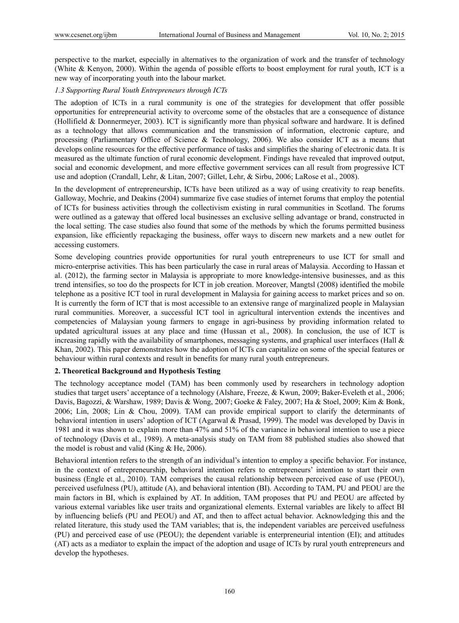perspective to the market, especially in alternatives to the organization of work and the transfer of technology (White & Kenyon, 2000). Within the agenda of possible efforts to boost employment for rural youth, ICT is a new way of incorporating youth into the labour market.

#### *1.3 Supporting Rural Youth Entrepreneurs through ICTs*

The adoption of ICTs in a rural community is one of the strategies for development that offer possible opportunities for entrepreneurial activity to overcome some of the obstacles that are a consequence of distance (Hollifield & Donnermeyer, 2003). ICT is significantly more than physical software and hardware. It is defined as a technology that allows communication and the transmission of information, electronic capture, and processing (Parliamentary Office of Science & Technology, 2006). We also consider ICT as a means that develops online resources for the effective performance of tasks and simplifies the sharing of electronic data. It is measured as the ultimate function of rural economic development. Findings have revealed that improved output, social and economic development, and more effective government services can all result from progressive ICT use and adoption (Crandall, Lehr, & Litan, 2007; Gillet, Lehr, & Sirbu, 2006; LaRose et al., 2008).

In the development of entrepreneurship, ICTs have been utilized as a way of using creativity to reap benefits. Galloway, Mochrie, and Deakins (2004) summarize five case studies of internet forums that employ the potential of ICTs for business activities through the collectivism existing in rural communities in Scotland. The forums were outlined as a gateway that offered local businesses an exclusive selling advantage or brand, constructed in the local setting. The case studies also found that some of the methods by which the forums permitted business expansion, like efficiently repackaging the business, offer ways to discern new markets and a new outlet for accessing customers.

Some developing countries provide opportunities for rural youth entrepreneurs to use ICT for small and micro-enterprise activities. This has been particularly the case in rural areas of Malaysia. According to Hassan et al. (2012), the farming sector in Malaysia is appropriate to more knowledge-intensive businesses, and as this trend intensifies, so too do the prospects for ICT in job creation. Moreover, Mangtsl (2008) identified the mobile telephone as a positive ICT tool in rural development in Malaysia for gaining access to market prices and so on. It is currently the form of ICT that is most accessible to an extensive range of marginalized people in Malaysian rural communities. Moreover, a successful ICT tool in agricultural intervention extends the incentives and competencies of Malaysian young farmers to engage in agri-business by providing information related to updated agricultural issues at any place and time (Hussan et al., 2008). In conclusion, the use of ICT is increasing rapidly with the availability of smartphones, messaging systems, and graphical user interfaces (Hall  $\&$ Khan, 2002). This paper demonstrates how the adoption of ICTs can capitalize on some of the special features or behaviour within rural contexts and result in benefits for many rural youth entrepreneurs.

#### **2. Theoretical Background and Hypothesis Testing**

The technology acceptance model (TAM) has been commonly used by researchers in technology adoption studies that target users' acceptance of a technology (Alshare, Freeze, & Kwun, 2009; Baker-Eveleth et al., 2006; Davis, Bagozzi, & Warshaw, 1989; Davis & Wong, 2007; Goeke & Faley, 2007; Ha & Stoel, 2009; Kim & Bonk, 2006; Lin, 2008; Lin & Chou, 2009). TAM can provide empirical support to clarify the determinants of behavioral intention in users' adoption of ICT (Agarwal & Prasad, 1999). The model was developed by Davis in 1981 and it was shown to explain more than 47% and 51% of the variance in behavioral intention to use a piece of technology (Davis et al., 1989). A meta-analysis study on TAM from 88 published studies also showed that the model is robust and valid (King & He, 2006).

Behavioral intention refers to the strength of an individual's intention to employ a specific behavior. For instance, in the context of entrepreneurship, behavioral intention refers to entrepreneurs' intention to start their own business (Engle et al., 2010). TAM comprises the causal relationship between perceived ease of use (PEOU), perceived usefulness (PU), attitude (A), and behavioral intention (BI). According to TAM, PU and PEOU are the main factors in BI, which is explained by AT. In addition, TAM proposes that PU and PEOU are affected by various external variables like user traits and organizational elements. External variables are likely to affect BI by influencing beliefs (PU and PEOU) and AT, and then to affect actual behavior. Acknowledging this and the related literature, this study used the TAM variables; that is, the independent variables are perceived usefulness (PU) and perceived ease of use (PEOU); the dependent variable is enterpreneurial intention (EI); and attitudes (AT) acts as a mediator to explain the impact of the adoption and usage of ICTs by rural youth entrepreneurs and develop the hypotheses.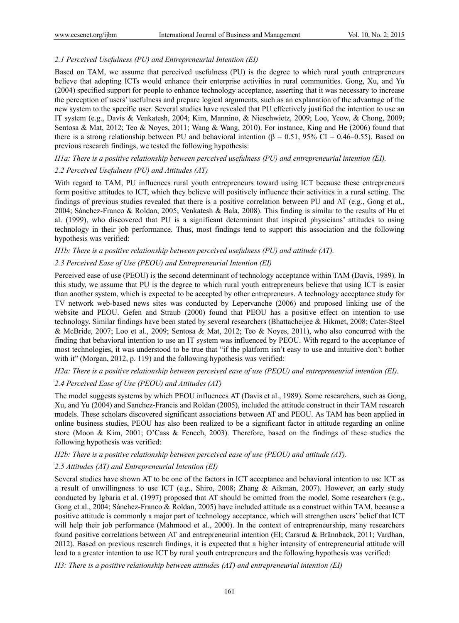## *2.1 Perceived Usefulness (PU) and Entrepreneurial Intention (EI)*

Based on TAM, we assume that perceived usefulness (PU) is the degree to which rural youth entrepreneurs believe that adopting ICTs would enhance their enterprise activities in rural communities. Gong, Xu, and Yu (2004) specified support for people to enhance technology acceptance, asserting that it was necessary to increase the perception of users' usefulness and prepare logical arguments, such as an explanation of the advantage of the new system to the specific user. Several studies have revealed that PU effectively justified the intention to use an IT system (e.g., Davis & Venkatesh, 2004; Kim, Mannino, & Nieschwietz, 2009; Loo, Yeow, & Chong, 2009; Sentosa & Mat, 2012; Teo & Noyes, 2011; Wang & Wang, 2010). For instance, King and He (2006) found that there is a strong relationship between PU and behavioral intention (β = 0.51, 95% CI = 0.46–0.55). Based on previous research findings, we tested the following hypothesis:

*H1a: There is a positive relationship between perceived usefulness (PU) and entrepreneurial intention (EI).* 

#### *2.2 Perceived Usefulness (PU) and Attitudes (AT)*

With regard to TAM, PU influences rural youth entrepreneurs toward using ICT because these entrepreneurs form positive attitudes to ICT, which they believe will positively influence their activities in a rural setting. The findings of previous studies revealed that there is a positive correlation between PU and AT (e.g., Gong et al., 2004; Sánchez-Franco & Roldan, 2005; Venkatesh & Bala, 2008). This finding is similar to the results of Hu et al. (1999), who discovered that PU is a significant determinant that inspired physicians' attitudes to using technology in their job performance. Thus, most findings tend to support this association and the following hypothesis was verified:

*H1b: There is a positive relationship between perceived usefulness (PU) and attitude (AT).* 

## *2.3 Perceived Ease of Use (PEOU) and Entrepreneurial Intention (EI)*

Perceived ease of use (PEOU) is the second determinant of technology acceptance within TAM (Davis, 1989). In this study, we assume that PU is the degree to which rural youth entrepreneurs believe that using ICT is easier than another system, which is expected to be accepted by other entrepreneurs. A technology acceptance study for TV network web-based news sites was conducted by Lepervanche (2006) and proposed linking use of the website and PEOU. Gefen and Straub (2000) found that PEOU has a positive effect on intention to use technology. Similar findings have been stated by several researchers (Bhattacheijee & Hikmet, 2008; Cater-Steel & McBride, 2007; Loo et al., 2009; Sentosa & Mat, 2012; Teo & Noyes, 2011), who also concurred with the finding that behavioral intention to use an IT system was influenced by PEOU. With regard to the acceptance of most technologies, it was understood to be true that "if the platform isn't easy to use and intuitive don't bother with it" (Morgan, 2012, p. 119) and the following hypothesis was verified:

*H2a: There is a positive relationship between perceived ease of use (PEOU) and entrepreneurial intention (EI).* 

#### *2.4 Perceived Ease of Use (PEOU) and Attitudes (AT)*

The model suggests systems by which PEOU influences AT (Davis et al., 1989). Some researchers, such as Gong, Xu, and Yu (2004) and Sanchez-Francis and Roldan (2005), included the attitude construct in their TAM research models. These scholars discovered significant associations between AT and PEOU. As TAM has been applied in online business studies, PEOU has also been realized to be a significant factor in attitude regarding an online store (Moon & Kim, 2001; O'Cass & Fenech, 2003). Therefore, based on the findings of these studies the following hypothesis was verified:

#### *H2b: There is a positive relationship between perceived ease of use (PEOU) and attitude (AT).*

#### *2.5 Attitudes (AT) and Entrepreneurial Intention (EI)*

Several studies have shown AT to be one of the factors in ICT acceptance and behavioral intention to use ICT as a result of unwillingness to use ICT (e.g., Shiro, 2008; Zhang & Aikman, 2007). However, an early study conducted by Igbaria et al. (1997) proposed that AT should be omitted from the model. Some researchers (e.g., Gong et al., 2004; Sánchez-Franco & Roldan, 2005) have included attitude as a construct within TAM, because a positive attitude is commonly a major part of technology acceptance, which will strengthen users' belief that ICT will help their job performance (Mahmood et al., 2000). In the context of entrepreneurship, many researchers found positive correlations between AT and entrepreneurial intention (EI; Carsrud & Brännback, 2011; Vardhan, 2012). Based on previous research findings, it is expected that a higher intensity of entrepreneurial attitude will lead to a greater intention to use ICT by rural youth entrepreneurs and the following hypothesis was verified:

*H3: There is a positive relationship between attitudes (AT) and entrepreneurial intention (EI)*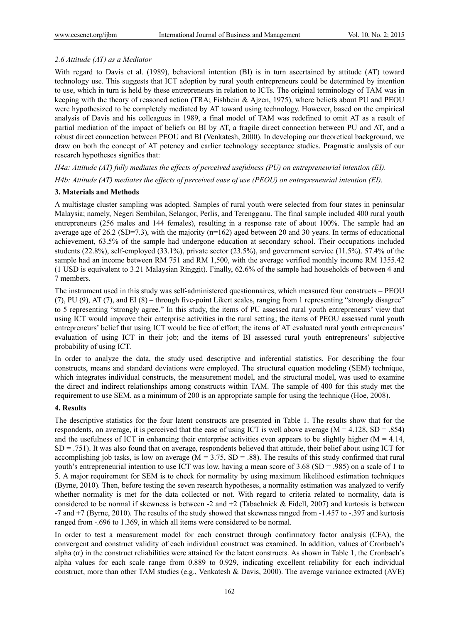## *2.6 Attitude (AT) as a Mediator*

With regard to Davis et al. (1989), behavioral intention (BI) is in turn ascertained by attitude (AT) toward technology use. This suggests that ICT adoption by rural youth entrepreneurs could be determined by intention to use, which in turn is held by these entrepreneurs in relation to ICTs. The original terminology of TAM was in keeping with the theory of reasoned action (TRA; Fishbein & Ajzen, 1975), where beliefs about PU and PEOU were hypothesized to be completely mediated by AT toward using technology. However, based on the empirical analysis of Davis and his colleagues in 1989, a final model of TAM was redefined to omit AT as a result of partial mediation of the impact of beliefs on BI by AT, a fragile direct connection between PU and AT, and a robust direct connection between PEOU and BI (Venkatesh, 2000). In developing our theoretical background, we draw on both the concept of AT potency and earlier technology acceptance studies. Pragmatic analysis of our research hypotheses signifies that:

*H4a: Attitude (AT) fully mediates the effects of perceived usefulness (PU) on entrepreneurial intention (EI).* 

*H4b: Attitude (AT) mediates the effects of perceived ease of use (PEOU) on entrepreneurial intention (EI).* 

#### **3. Materials and Methods**

A multistage cluster sampling was adopted. Samples of rural youth were selected from four states in peninsular Malaysia; namely, Negeri Sembilan, Selangor, Perlis, and Terengganu. The final sample included 400 rural youth entrepreneurs (256 males and 144 females), resulting in a response rate of about 100%. The sample had an average age of  $26.2$  (SD=7.3), with the majority (n=162) aged between 20 and 30 years. In terms of educational achievement, 63.5% of the sample had undergone education at secondary school. Their occupations included students (22.8%), self-employed (33.1%), private sector (23.5%), and government service (11.5%). 57.4% of the sample had an income between RM 751 and RM 1,500, with the average verified monthly income RM 1355.42 (1 USD is equivalent to 3.21 Malaysian Ringgit). Finally, 62.6% of the sample had households of between 4 and 7 members.

The instrument used in this study was self-administered questionnaires, which measured four constructs – PEOU (7), PU (9), AT (7), and EI (8) – through five-point Likert scales, ranging from 1 representing "strongly disagree" to 5 representing "strongly agree." In this study, the items of PU assessed rural youth entrepreneurs' view that using ICT would improve their enterprise activities in the rural setting; the items of PEOU assessed rural youth entrepreneurs' belief that using ICT would be free of effort; the items of AT evaluated rural youth entrepreneurs' evaluation of using ICT in their job; and the items of BI assessed rural youth entrepreneurs' subjective probability of using ICT.

In order to analyze the data, the study used descriptive and inferential statistics. For describing the four constructs, means and standard deviations were employed. The structural equation modeling (SEM) technique, which integrates individual constructs, the measurement model, and the structural model, was used to examine the direct and indirect relationships among constructs within TAM. The sample of 400 for this study met the requirement to use SEM, as a minimum of 200 is an appropriate sample for using the technique (Hoe, 2008).

#### **4. Results**

The descriptive statistics for the four latent constructs are presented in Table 1. The results show that for the respondents, on average, it is perceived that the ease of using ICT is well above average ( $M = 4.128$ ,  $SD = .854$ ) and the usefulness of ICT in enhancing their enterprise activities even appears to be slightly higher  $(M = 4.14,$  $SD = .751$ ). It was also found that on average, respondents believed that attitude, their belief about using ICT for accomplishing job tasks, is low on average ( $M = 3.75$ ,  $SD = .88$ ). The results of this study confirmed that rural youth's entrepreneurial intention to use ICT was low, having a mean score of  $3.68$  (SD = .985) on a scale of 1 to 5. A major requirement for SEM is to check for normality by using maximum likelihood estimation techniques (Byrne, 2010). Then, before testing the seven research hypotheses, a normality estimation was analyzed to verify whether normality is met for the data collected or not. With regard to criteria related to normality, data is considered to be normal if skewness is between -2 and +2 (Tabachnick & Fidell, 2007) and kurtosis is between -7 and +7 (Byrne, 2010). The results of the study showed that skewness ranged from -1.457 to -.397 and kurtosis ranged from -.696 to 1.369, in which all items were considered to be normal.

In order to test a measurement model for each construct through confirmatory factor analysis (CFA), the convergent and construct validity of each individual construct was examined. In addition, values of Cronbach's alpha  $(\alpha)$  in the construct reliabilities were attained for the latent constructs. As shown in Table 1, the Cronbach's alpha values for each scale range from 0.889 to 0.929, indicating excellent reliability for each individual construct, more than other TAM studies (e.g., Venkatesh & Davis, 2000). The average variance extracted (AVE)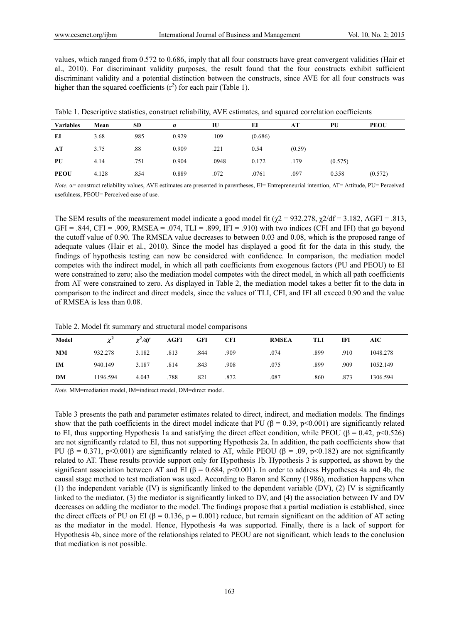values, which ranged from 0.572 to 0.686, imply that all four constructs have great convergent validities (Hair et al., 2010). For discriminant validity purposes, the result found that the four constructs exhibit sufficient discriminant validity and a potential distinction between the constructs, since AVE for all four constructs was higher than the squared coefficients  $(r^2)$  for each pair (Table 1).

|  |  | Table 1. Descriptive statistics, construct reliability, AVE estimates, and squared correlation coefficients |  |
|--|--|-------------------------------------------------------------------------------------------------------------|--|
|  |  |                                                                                                             |  |

| <b>Variables</b> | Mean  | <b>SD</b> | $\alpha$ | IU    | EI      | AT     | PU      | <b>PEOU</b> |
|------------------|-------|-----------|----------|-------|---------|--------|---------|-------------|
| EI               | 3.68  | .985      | 0.929    | .109  | (0.686) |        |         |             |
| AT               | 3.75  | .88       | 0.909    | .221  | 0.54    | (0.59) |         |             |
| PU               | 4.14  | .751      | 0.904    | .0948 | 0.172   | .179   | (0.575) |             |
| <b>PEOU</b>      | 4.128 | .854      | 0.889    | .072  | .0761   | .097   | 0.358   | (0.572)     |

*Note.* α= construct reliability values, AVE estimates are presented in parentheses, EI= Entrepreneurial intention, AT= Attitude, PU= Perceived usefulness, PEOU= Perceived ease of use.

The SEM results of the measurement model indicate a good model fit ( $\chi$ 2 = 932.278,  $\chi$ 2/df = 3.182, AGFI = .813,  $GFI = .844$ ,  $CFI = .909$ ,  $RMSEA = .074$ ,  $TLI = .899$ ,  $IFI = .910$ ) with two indices (CFI and IFI) that go beyond the cutoff value of 0.90. The RMSEA value decreases to between 0.03 and 0.08, which is the proposed range of adequate values (Hair et al., 2010). Since the model has displayed a good fit for the data in this study, the findings of hypothesis testing can now be considered with confidence. In comparison, the mediation model competes with the indirect model, in which all path coefficients from exogenous factors (PU and PEOU) to EI were constrained to zero; also the mediation model competes with the direct model, in which all path coefficients from AT were constrained to zero. As displayed in Table 2, the mediation model takes a better fit to the data in comparison to the indirect and direct models, since the values of TLI, CFI, and IFI all exceed 0.90 and the value of RMSEA is less than 0.08.

Table 2. Model fit summary and structural model comparisons

| Model     | $\chi^2$ | $\chi^2/df$ | <b>AGFI</b> | GFI  | <b>CFI</b> | <b>RMSEA</b> | TLI  | IFI  | AIC      |
|-----------|----------|-------------|-------------|------|------------|--------------|------|------|----------|
| <b>MM</b> | 932.278  | 3.182       | .813        | .844 | .909       | .074         | .899 | .910 | 1048.278 |
| <b>IM</b> | 940.149  | 3.187       | .814        | .843 | .908       | .075         | .899 | .909 | 1052.149 |
| DM        | 1196.594 | 4.043       | .788        | .821 | .872       | .087         | .860 | .873 | 1306.594 |

*Note.* MM=mediation model, IM=indirect model, DM=direct model.

Table 3 presents the path and parameter estimates related to direct, indirect, and mediation models. The findings show that the path coefficients in the direct model indicate that PU ( $\beta = 0.39$ , p<0.001) are significantly related to EI, thus supporting Hypothesis 1a and satisfying the direct effect condition, while PEOU ( $\beta = 0.42$ , p<0.526) are not significantly related to EI, thus not supporting Hypothesis 2a. In addition, the path coefficients show that PU ( $\beta = 0.371$ , p<0.001) are significantly related to AT, while PEOU ( $\beta = .09$ , p<0.182) are not significantly related to AT. These results provide support only for Hypothesis 1b. Hypothesis 3 is supported, as shown by the significant association between AT and EI ( $\beta = 0.684$ , p<0.001). In order to address Hypotheses 4a and 4b, the causal stage method to test mediation was used. According to Baron and Kenny (1986), mediation happens when (1) the independent variable  $(V)$  is significantly linked to the dependent variable  $(DV)$ , (2) IV is significantly linked to the mediator, (3) the mediator is significantly linked to DV, and (4) the association between IV and DV decreases on adding the mediator to the model. The findings propose that a partial mediation is established, since the direct effects of PU on EI ( $\beta$  = 0.136, p = 0.001) reduce, but remain significant on the addition of AT acting as the mediator in the model. Hence, Hypothesis 4a was supported. Finally, there is a lack of support for Hypothesis 4b, since more of the relationships related to PEOU are not significant, which leads to the conclusion that mediation is not possible.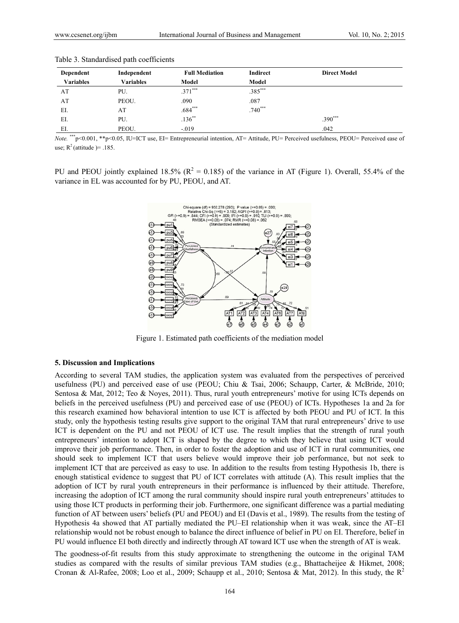| Dependent        | Independent      | <b>Full Mediation</b> | Indirect  | <b>Direct Model</b> |
|------------------|------------------|-----------------------|-----------|---------------------|
| <b>Variables</b> | <b>Variables</b> | Model                 | Model     |                     |
| AT               | PU.              | $.371***$             | $.385***$ |                     |
| AT               | PEOU.            | .090                  | .087      |                     |
| EI.              | AT               | $.684***$             | $.740***$ |                     |
| EI.              | PU.              | $.136^{**}$           |           | $.390***$           |
| EI.              | PEOU.            | $-.019$               |           | .042                |

Table 3. Standardised path coefficients

Note. \*\*\*p<0.001, \*\*p<0.05, IU=ICT use, EI= Entrepreneurial intention, AT= Attitude, PU= Perceived usefulness, PEOU= Perceived ease of use;  $R^2$  (attitude )= .185.

PU and PEOU jointly explained 18.5% ( $\mathbb{R}^2 = 0.185$ ) of the variance in AT (Figure 1). Overall, 55.4% of the variance in EL was accounted for by PU, PEOU, and AT.



Figure 1. Estimated path coefficients of the mediation model

#### **5. Discussion and Implications**

According to several TAM studies, the application system was evaluated from the perspectives of perceived usefulness (PU) and perceived ease of use (PEOU; Chiu & Tsai, 2006; Schaupp, Carter, & McBride, 2010; Sentosa & Mat, 2012; Teo & Noyes, 2011). Thus, rural youth entrepreneurs' motive for using ICTs depends on beliefs in the perceived usefulness (PU) and perceived ease of use (PEOU) of ICTs. Hypotheses 1a and 2a for this research examined how behavioral intention to use ICT is affected by both PEOU and PU of ICT. In this study, only the hypothesis testing results give support to the original TAM that rural entrepreneurs' drive to use ICT is dependent on the PU and not PEOU of ICT use. The result implies that the strength of rural youth entrepreneurs' intention to adopt ICT is shaped by the degree to which they believe that using ICT would improve their job performance. Then, in order to foster the adoption and use of ICT in rural communities, one should seek to implement ICT that users believe would improve their job performance, but not seek to implement ICT that are perceived as easy to use. In addition to the results from testing Hypothesis 1b, there is enough statistical evidence to suggest that PU of ICT correlates with attitude (A). This result implies that the adoption of ICT by rural youth entrepreneurs in their performance is influenced by their attitude. Therefore, increasing the adoption of ICT among the rural community should inspire rural youth entrepreneurs' attitudes to using those ICT products in performing their job. Furthermore, one significant difference was a partial mediating function of AT between users' beliefs (PU and PEOU) and EI (Davis et al., 1989). The results from the testing of Hypothesis 4a showed that AT partially mediated the PU–EI relationship when it was weak, since the AT–EI relationship would not be robust enough to balance the direct influence of belief in PU on EI. Therefore, belief in PU would influence EI both directly and indirectly through AT toward ICT use when the strength of AT is weak.

The goodness-of-fit results from this study approximate to strengthening the outcome in the original TAM studies as compared with the results of similar previous TAM studies (e.g., Bhattacheijee & Hikmet, 2008; Cronan & Al-Rafee, 2008; Loo et al., 2009; Schaupp et al., 2010; Sentosa & Mat, 2012). In this study, the  $R^2$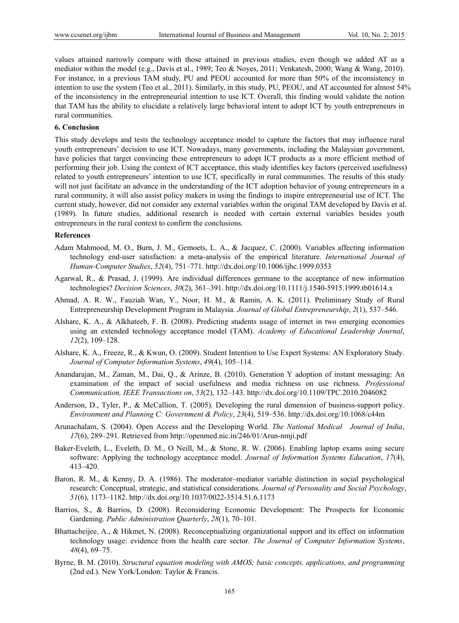values attained narrowly compare with those attained in previous studies, even though we added AT as a mediator within the model (e.g., Davis et al., 1989; Teo & Noyes, 2011; Venkatesh, 2000; Wang & Wang, 2010). For instance, in a previous TAM study, PU and PEOU accounted for more than 50% of the inconsistency in intention to use the system (Teo et al., 2011). Similarly, in this study, PU, PEOU, and AT accounted for almost 54% of the inconsistency in the entrepreneurial intention to use ICT. Overall, this finding would validate the notion that TAM has the ability to elucidate a relatively large behavioral intent to adopt ICT by youth entrepreneurs in rural communities.

#### **6. Conclusion**

This study develops and tests the technology acceptance model to capture the factors that may influence rural youth entrepreneurs' decision to use ICT. Nowadays, many governments, including the Malaysian government, have policies that target convincing these entrepreneurs to adopt ICT products as a more efficient method of performing their job. Using the context of ICT acceptance, this study identifies key factors (perceived usefulness) related to youth entrepreneurs' intention to use ICT, specifically in rural communities. The results of this study will not just facilitate an advance in the understanding of the ICT adoption behavior of young entrepreneurs in a rural community, it will also assist policy makers in using the findings to inspire entrepreneurial use of ICT. The current study, however, did not consider any external variables within the original TAM developed by Davis et al. (1989). In future studies, additional research is needed with certain external variables besides youth entrepreneurs in the rural context to confirm the conclusions.

#### **References**

- Adam Mahmood, M. O., Burn, J. M., Gemoets, L. A., & Jacquez, C. (2000). Variables affecting information technology end-user satisfaction: a meta-analysis of the empirical literature. *International Journal of Human-Computer Studies*, *52*(4), 751–771. http://dx.doi.org/10.1006/ijhc.1999.0353
- Agarwal, R., & Prasad, J. (1999). Are individual differences germane to the acceptance of new information technologies? *Decision Sciences*, *30*(2), 361–391. http://dx.doi.org/10.1111/j.1540-5915.1999.tb01614.x
- Ahmad, A. R. W., Fauziah Wan, Y., Noor, H. M., & Ramin, A. K. (2011). Preliminary Study of Rural Entrepreneurship Development Program in Malaysia. *Journal of Global Entrepreneurship*, *2*(1), 537–546.
- Alshare, K. A., & Alkhateeb, F. B. (2008). Predicting students usage of internet in two emerging economies using an extended technology acceptance model (TAM). *Academy of Educational Leadership Journal*, *12*(2), 109–128.
- Alshare, K. A., Freeze, R., & Kwun, O. (2009). Student Intention to Use Expert Systems: AN Exploratory Study. *Journal of Computer Information Systems*, *49*(4), 105–114.
- Anandarajan, M., Zaman, M., Dai, Q., & Arinze, B. (2010). Generation Y adoption of instant messaging: An examination of the impact of social usefulness and media richness on use richness. *Professional Communication, IEEE Transactions on*, *53*(2), 132–143. http://dx.doi.org/10.1109/TPC.2010.2046082
- Anderson, D., Tyler, P., & McCallion, T. (2005). Developing the rural dimension of business-support policy. *Environment and Planning C: Government & Policy*, *23*(4), 519–536. http://dx.doi.org/10.1068/c44m
- Arunachalam, S. (2004). Open Access and the Developing World. *The National Medical Journal of India*, *17*(6), 289–291. Retrieved from http://openmed.nic.in/246/01/Arun-nmji.pdf
- Baker-Eveleth, L., Eveleth, D. M., O Neill, M., & Stone, R. W. (2006). Enabling laptop exams using secure software: Applying the technology acceptance model. *Journal of Information Systems Education*, *17*(4), 413–420.
- Baron, R. M., & Kenny, D. A. (1986). The moderator–mediator variable distinction in social psychological research: Conceptual, strategic, and statistical considerations. *Journal of Personality and Social Psychology*, *51*(6), 1173–1182. http://dx.doi.org/10.1037/0022-3514.51.6.1173
- Barrios, S., & Barrios, D. (2008). Reconsidering Economic Development: The Prospects for Economic Gardening. *Public Administration Quarterly*, *28*(1), 70–101.
- Bhattacheijee, A., & Hikmet, N. (2008). Reconceptualizing organizational support and its effect on information technology usage: evidence from the health care sector. *The Journal of Computer Information Systems*, *48*(4), 69–75.
- Byrne, B. M. (2010). *Structural equation modeling with AMOS; basic concepts, applications, and programming* (2nd ed.). New York/London: Taylor & Francis.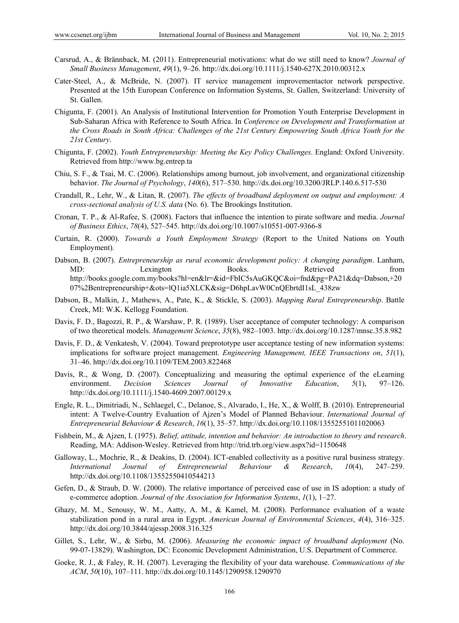- Carsrud, A., & Brännback, M. (2011). Entrepreneurial motivations: what do we still need to know? *Journal of Small Business Management*, *49*(1), 9–26. http://dx.doi.org/10.1111/j.1540-627X.2010.00312.x
- Cater-Steel, A., & McBride, N. (2007). IT service management improvementactor network perspective. Presented at the 15th European Conference on Information Systems, St. Gallen, Switzerland: University of St. Gallen.
- Chigunta, F. (2001). An Analysis of Institutional Intervention for Promotion Youth Enterprise Development in Sub-Saharan Africa with Reference to South Africa. In *Conference on Development and Transformation at the Cross Roads in South Africa: Challenges of the 21st Century Empowering South Africa Youth for the 21st Century*.
- Chigunta, F. (2002). *Youth Entrepreneurship: Meeting the Key Policy Challenges*. England: Oxford University. Retrieved from http://www.bg.entrep.ta
- Chiu, S. F., & Tsai, M. C. (2006). Relationships among burnout, job involvement, and organizational citizenship behavior. *The Journal of Psychology*, *140*(6), 517–530. http://dx.doi.org/10.3200/JRLP.140.6.517-530
- Crandall, R., Lehr, W., & Litan, R. (2007). *The effects of broadband deployment on output and employment: A cross-sectional analysis of U.S. data* (No. 6). The Brookings Institution.
- Cronan, T. P., & Al-Rafee, S. (2008). Factors that influence the intention to pirate software and media. *Journal of Business Ethics*, *78*(4), 527–545. http://dx.doi.org/10.1007/s10551-007-9366-8
- Curtain, R. (2000). *Towards a Youth Employment Strategy* (Report to the United Nations on Youth Employment).
- Dabson, B. (2007). *Entrepreneurship as rural economic development policy: A changing paradigm*. Lanham, MD: Lexington Books. Retrieved from http://books.google.com.my/books?hl=en&lr=&id=FbIC5sAuGKQC&oi=fnd&pg=PA21&dq=Dabson,+20 07%2Bentrepreneurship+&ots=lQ1ia5XLCK&sig=D6hpLavW0CnQEbrtdI1sL\_438zw
- Dabson, B., Malkin, J., Mathews, A., Pate, K., & Stickle, S. (2003). *Mapping Rural Entrepreneurship*. Battle Creek, MI: W.K. Kellogg Foundation.
- Davis, F. D., Bagozzi, R. P., & Warshaw, P. R. (1989). User acceptance of computer technology: A comparison of two theoretical models. *Management Science*, *35*(8), 982–1003. http://dx.doi.org/10.1287/mnsc.35.8.982
- Davis, F. D., & Venkatesh, V. (2004). Toward preprototype user acceptance testing of new information systems: implications for software project management. *Engineering Management, IEEE Transactions on*, *51*(1), 31–46. http://dx.doi.org/10.1109/TEM.2003.822468
- Davis, R., & Wong, D. (2007). Conceptualizing and measuring the optimal experience of the eLearning environment. *Decision Sciences Journal of Innovative Education*, *5*(1), 97–126. http://dx.doi.org/10.1111/j.1540-4609.2007.00129.x
- Engle, R. L., Dimitriadi, N., Schlaegel, C., Delanoe, S., Alvarado, I., He, X., & Wolff, B. (2010). Entrepreneurial intent: A Twelve-Country Evaluation of Ajzen's Model of Planned Behaviour. *International Journal of Entrepreneurial Behaviour & Research*, *16*(1), 35–57. http://dx.doi.org/10.1108/13552551011020063
- Fishbein, M., & Ajzen, I. (1975). *Belief, attitude, intention and behavior: An introduction to theory and research*. Reading, MA: Addison-Wesley. Retrieved from http://trid.trb.org/view.aspx?id=1150648
- Galloway, L., Mochrie, R., & Deakins, D. (2004). ICT-enabled collectivity as a positive rural business strategy. *International Journal of Entrepreneurial Behaviour & Research*, *10*(4), 247–259. http://dx.doi.org/10.1108/13552550410544213
- Gefen, D., & Straub, D. W. (2000). The relative importance of perceived ease of use in IS adoption: a study of e-commerce adoption. *Journal of the Association for Information Systems*, *1*(1), 1–27.
- Ghazy, M. M., Senousy, W. M., Aatty, A. M., & Kamel, M. (2008). Performance evaluation of a waste stabilization pond in a rural area in Egypt. *American Journal of Environmental Sciences*, *4*(4), 316–325. http://dx.doi.org/10.3844/ajessp.2008.316.325
- Gillet, S., Lehr, W., & Sirbu, M. (2006). *Measuring the economic impact of broadband deployment* (No. 99-07-13829). Washington, DC: Economic Development Administration, U.S. Department of Commerce.
- Goeke, R. J., & Faley, R. H. (2007). Leveraging the flexibility of your data warehouse. *Communications of the ACM*, *50*(10), 107–111. http://dx.doi.org/10.1145/1290958.1290970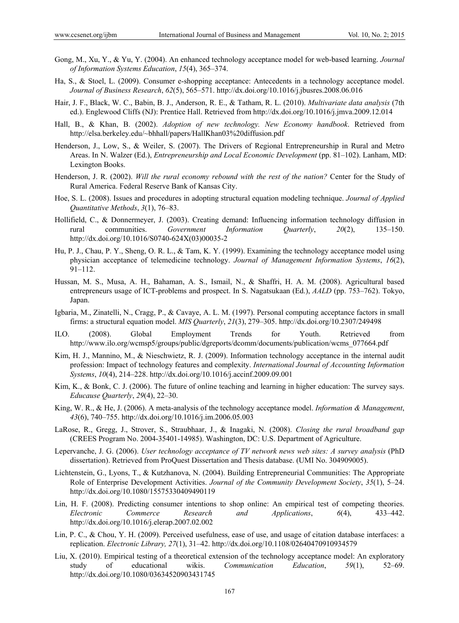- Gong, M., Xu, Y., & Yu, Y. (2004). An enhanced technology acceptance model for web-based learning. *Journal of Information Systems Education*, *15*(4), 365–374.
- Ha, S., & Stoel, L. (2009). Consumer e-shopping acceptance: Antecedents in a technology acceptance model. *Journal of Business Research*, *62*(5), 565–571. http://dx.doi.org/10.1016/j.jbusres.2008.06.016
- Hair, J. F., Black, W. C., Babin, B. J., Anderson, R. E., & Tatham, R. L. (2010). *Multivariate data analysis* (7th ed.). Englewood Cliffs (NJ): Prentice Hall. Retrieved from http://dx.doi.org/10.1016/j.jmva.2009.12.014
- Hall, B., & Khan, B. (2002). *Adoption of new technology. New Economy handbook*. Retrieved from http://elsa.berkeley.edu/~bhhall/papers/HallKhan03%20diffusion.pdf
- Henderson, J., Low, S., & Weiler, S. (2007). The Drivers of Regional Entrepreneurship in Rural and Metro Areas. In N. Walzer (Ed.), *Entrepreneurship and Local Economic Development* (pp. 81–102). Lanham, MD: Lexington Books.
- Henderson, J. R. (2002). *Will the rural economy rebound with the rest of the nation?* Center for the Study of Rural America. Federal Reserve Bank of Kansas City.
- Hoe, S. L. (2008). Issues and procedures in adopting structural equation modeling technique. *Journal of Applied Quantitative Methods*, *3*(1), 76–83.
- Hollifield, C., & Donnermeyer, J. (2003). Creating demand: Influencing information technology diffusion in rural communities. *Government Information Quarterly*, *20*(2), 135–150. http://dx.doi.org/10.1016/S0740-624X(03)00035-2
- Hu, P. J., Chau, P. Y., Sheng, O. R. L., & Tam, K. Y. (1999). Examining the technology acceptance model using physician acceptance of telemedicine technology. *Journal of Management Information Systems*, *16*(2), 91–112.
- Hussan, M. S., Musa, A. H., Bahaman, A. S., Ismail, N., & Shaffri, H. A. M. (2008). Agricultural based entrepreneurs usage of ICT-problems and prospect. In S. Nagatsukaan (Ed.), *AALD* (pp. 753–762). Tokyo, Japan.
- Igbaria, M., Zinatelli, N., Cragg, P., & Cavaye, A. L. M. (1997). Personal computing acceptance factors in small firms: a structural equation model. *MIS Quarterly*, *21*(3), 279–305. http://dx.doi.org/10.2307/249498
- ILO. (2008). Global Employment Trends for Youth. Retrieved from http://www.ilo.org/wcmsp5/groups/public/dgreports/dcomm/documents/publication/wcms\_077664.pdf
- Kim, H. J., Mannino, M., & Nieschwietz, R. J. (2009). Information technology acceptance in the internal audit profession: Impact of technology features and complexity. *International Journal of Accounting Information Systems*, *10*(4), 214–228. http://dx.doi.org/10.1016/j.accinf.2009.09.001
- Kim, K., & Bonk, C. J. (2006). The future of online teaching and learning in higher education: The survey says. *Educause Quarterly*, *29*(4), 22–30.
- King, W. R., & He, J. (2006). A meta-analysis of the technology acceptance model. *Information & Management*, *43*(6), 740–755. http://dx.doi.org/10.1016/j.im.2006.05.003
- LaRose, R., Gregg, J., Strover, S., Straubhaar, J., & Inagaki, N. (2008). *Closing the rural broadband gap* (CREES Program No. 2004-35401-14985). Washington, DC: U.S. Department of Agriculture.
- Lepervanche, J. G. (2006). *User technology acceptance of TV network news web sites: A survey analysis* (PhD dissertation). Retrieved from ProQuest Dissertation and Thesis database. (UMI No. 304909005).
- Lichtenstein, G., Lyons, T., & Kutzhanova, N. (2004). Building Entrepreneurial Communities: The Appropriate Role of Enterprise Development Activities. *Journal of the Community Development Society*, *35*(1), 5–24. http://dx.doi.org/10.1080/15575330409490119
- Lin, H. F. (2008). Predicting consumer intentions to shop online: An empirical test of competing theories. *Electronic Commerce Research and Applications*, *6*(4), 433–442. http://dx.doi.org/10.1016/j.elerap.2007.02.002
- Lin, P. C., & Chou, Y. H. (2009). Perceived usefulness, ease of use, and usage of citation database interfaces: a replication. *Electronic Library, 27*(1), 31–42. http://dx.doi.org/10.1108/02640470910934579
- Liu, X. (2010). Empirical testing of a theoretical extension of the technology acceptance model: An exploratory study of educational wikis. *Communication Education*, *59*(1), 52–69. http://dx.doi.org/10.1080/03634520903431745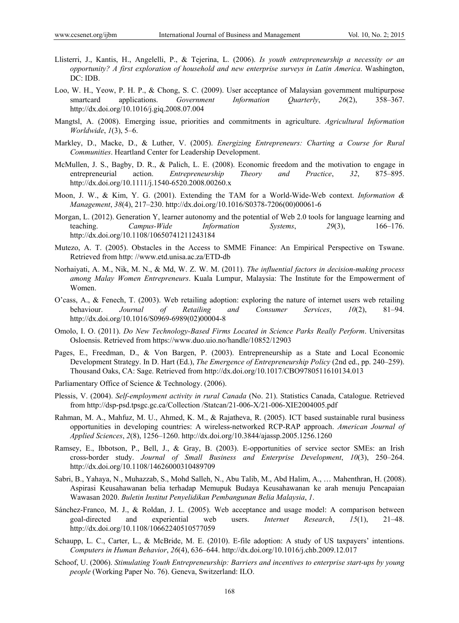- Llisterri, J., Kantis, H., Angelelli, P., & Tejerina, L. (2006). *Is youth entrepreneurship a necessity or an opportunity? A first exploration of household and new enterprise surveys in Latin America*. Washington, DC: IDB.
- Loo, W. H., Yeow, P. H. P., & Chong, S. C. (2009). User acceptance of Malaysian government multipurpose smartcard applications. *Government Information Quarterly*, *26*(2), 358–367. http://dx.doi.org/10.1016/j.giq.2008.07.004
- Mangtsl, A. (2008). Emerging issue, priorities and commitments in agriculture. *Agricultural Information Worldwide*, *1*(3), 5–6.
- Markley, D., Macke, D., & Luther, V. (2005). *Energizing Entrepreneurs: Charting a Course for Rural Communities*. Heartland Center for Leadership Development.
- McMullen, J. S., Bagby, D. R., & Palich, L. E. (2008). Economic freedom and the motivation to engage in entrepreneurial action. *Entrepreneurship Theory and Practice*, *32*, 875–895. http://dx.doi.org/10.1111/j.1540-6520.2008.00260.x
- Moon, J. W., & Kim, Y. G. (2001). Extending the TAM for a World-Wide-Web context. *Information & Management*, *38*(4), 217–230. http://dx.doi.org/10.1016/S0378-7206(00)00061-6
- Morgan, L. (2012). Generation Y, learner autonomy and the potential of Web 2.0 tools for language learning and teaching. *Campus-Wide Information Systems*, *29*(3), 166–176. http://dx.doi.org/10.1108/10650741211243184
- Mutezo, A. T. (2005). Obstacles in the Access to SMME Finance: An Empirical Perspective on Tswane. Retrieved from http: //www.etd.unisa.ac.za/ETD-db
- Norhaiyati, A. M., Nik, M. N., & Md, W. Z. W. M. (2011). *The influential factors in decision-making process among Malay Women Entrepreneurs*. Kuala Lumpur, Malaysia: The Institute for the Empowerment of Women.
- O'cass, A., & Fenech, T. (2003). Web retailing adoption: exploring the nature of internet users web retailing behaviour. *Journal of Retailing and Consumer Services*, *10*(2), 81–94. http://dx.doi.org/10.1016/S0969-6989(02)00004-8
- Omolo, I. O. (2011). *Do New Technology-Based Firms Located in Science Parks Really Perform*. Universitas Osloensis. Retrieved from https://www.duo.uio.no/handle/10852/12903
- Pages, E., Freedman, D., & Von Bargen, P. (2003). Entrepreneurship as a State and Local Economic Development Strategy. In D. Hart (Ed.), *The Emergence of Entrepreneurship Policy* (2nd ed., pp. 240–259). Thousand Oaks, CA: Sage. Retrieved from http://dx.doi.org/10.1017/CBO9780511610134.013
- Parliamentary Office of Science & Technology. (2006).
- Plessis, V. (2004). *Self-employment activity in rural Canada* (No. 21). Statistics Canada, Catalogue. Retrieved from http://dsp-psd.tpsgc.gc.ca/Collection /Statcan/21-006-X/21-006-XIE2004005.pdf
- Rahman, M. A., Mahfuz, M. U., Ahmed, K. M., & Rajatheva, R. (2005). ICT based sustainable rural business opportunities in developing countries: A wireless-networked RCP-RAP approach. *American Journal of Applied Sciences*, *2*(8), 1256–1260. http://dx.doi.org/10.3844/ajassp.2005.1256.1260
- Ramsey, E., Ibbotson, P., Bell, J., & Gray, B. (2003). E-opportunities of service sector SMEs: an Irish cross-border study. *Journal of Small Business and Enterprise Development*, *10*(3), 250–264. http://dx.doi.org/10.1108/14626000310489709
- Sabri, B., Yahaya, N., Muhazzab, S., Mohd Salleh, N., Abu Talib, M., Abd Halim, A., … Mahenthran, H. (2008). Aspirasi Keusahawanan belia terhadap Memupuk Budaya Keusahawanan ke arah menuju Pencapaian Wawasan 2020. *Buletin Institut Penyelidikan Pembangunan Belia Malaysia*, *1*.
- Sánchez-Franco, M. J., & Roldan, J. L. (2005). Web acceptance and usage model: A comparison between goal-directed and experiential web users. *Internet Research*, *15*(1), 21–48. http://dx.doi.org/10.1108/10662240510577059
- Schaupp, L. C., Carter, L., & McBride, M. E. (2010). E-file adoption: A study of US taxpayers' intentions. *Computers in Human Behavior*, *26*(4), 636–644. http://dx.doi.org/10.1016/j.chb.2009.12.017
- Schoof, U. (2006). *Stimulating Youth Entrepreneurship: Barriers and incentives to enterprise start-ups by young people* (Working Paper No. 76). Geneva, Switzerland: ILO.